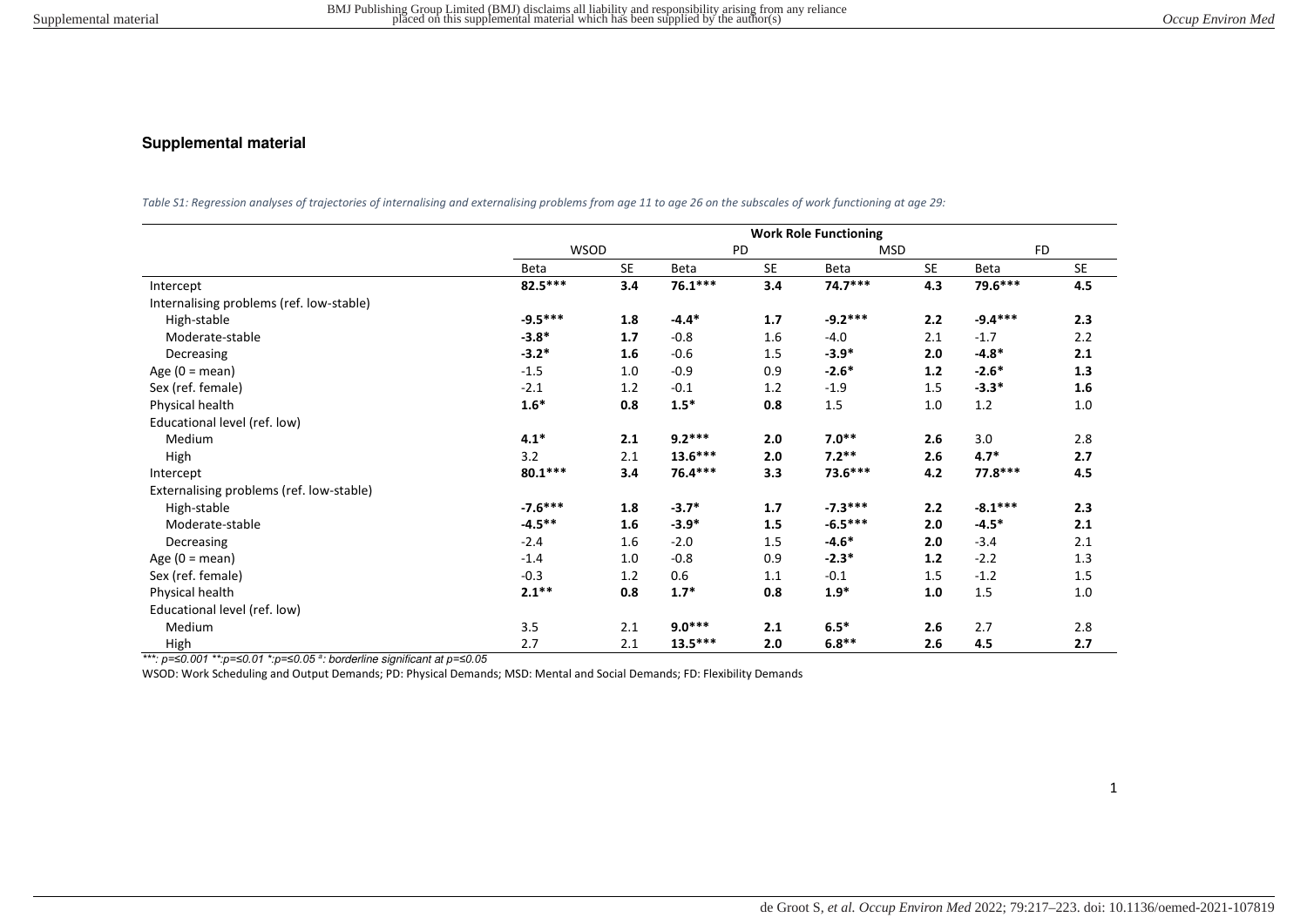## **Supplemental material**

*Table S1: Regression analyses of trajectories of internalising and externalising problems from age 11 to age 26 on the subscales of work functioning at age 29:* 

|                                          | <b>Work Role Functioning</b> |           |             |           |            |           |           |           |
|------------------------------------------|------------------------------|-----------|-------------|-----------|------------|-----------|-----------|-----------|
|                                          | <b>WSOD</b>                  |           | PD          |           | <b>MSD</b> |           | <b>FD</b> |           |
|                                          | Beta                         | <b>SE</b> | <b>Beta</b> | <b>SE</b> | Beta       | <b>SE</b> | Beta      | <b>SE</b> |
| Intercept                                | 82.5***                      | 3.4       | $76.1***$   | 3.4       | $74.7***$  | 4.3       | 79.6***   | 4.5       |
| Internalising problems (ref. low-stable) |                              |           |             |           |            |           |           |           |
| High-stable                              | $-9.5***$                    | 1.8       | $-4.4*$     | 1.7       | $-9.2***$  | 2.2       | $-9.4***$ | 2.3       |
| Moderate-stable                          | $-3.8*$                      | 1.7       | $-0.8$      | 1.6       | $-4.0$     | 2.1       | $-1.7$    | 2.2       |
| Decreasing                               | $-3.2*$                      | 1.6       | $-0.6$      | 1.5       | $-3.9*$    | 2.0       | $-4.8*$   | 2.1       |
| Age $(0 = \text{mean})$                  | $-1.5$                       | 1.0       | $-0.9$      | 0.9       | $-2.6*$    | $1.2$     | $-2.6*$   | 1.3       |
| Sex (ref. female)                        | $-2.1$                       | 1.2       | $-0.1$      | 1.2       | $-1.9$     | 1.5       | $-3.3*$   | 1.6       |
| Physical health                          | $1.6*$                       | 0.8       | $1.5*$      | 0.8       | 1.5        | 1.0       | 1.2       | 1.0       |
| Educational level (ref. low)             |                              |           |             |           |            |           |           |           |
| Medium                                   | $4.1*$                       | 2.1       | $9.2***$    | 2.0       | $7.0**$    | 2.6       | 3.0       | 2.8       |
| High                                     | 3.2                          | 2.1       | $13.6***$   | 2.0       | $7.2**$    | 2.6       | $4.7*$    | 2.7       |
| Intercept                                | $80.1***$                    | 3.4       | 76.4 ***    | 3.3       | 73.6***    | 4.2       | 77.8 ***  | 4.5       |
| Externalising problems (ref. low-stable) |                              |           |             |           |            |           |           |           |
| High-stable                              | $-7.6***$                    | 1.8       | $-3.7*$     | 1.7       | $-7.3***$  | 2.2       | $-8.1***$ | 2.3       |
| Moderate-stable                          | $-4.5***$                    | 1.6       | $-3.9*$     | 1.5       | $-6.5***$  | 2.0       | $-4.5*$   | 2.1       |
| Decreasing                               | $-2.4$                       | 1.6       | $-2.0$      | 1.5       | $-4.6*$    | 2.0       | $-3.4$    | 2.1       |
| Age $(0 = \text{mean})$                  | $-1.4$                       | 1.0       | $-0.8$      | 0.9       | $-2.3*$    | 1.2       | $-2.2$    | 1.3       |
| Sex (ref. female)                        | $-0.3$                       | 1.2       | 0.6         | 1.1       | $-0.1$     | 1.5       | $-1.2$    | 1.5       |
| Physical health                          | $2.1***$                     | 0.8       | $1.7*$      | 0.8       | $1.9*$     | 1.0       | 1.5       | 1.0       |
| Educational level (ref. low)             |                              |           |             |           |            |           |           |           |
| Medium                                   | 3.5                          | 2.1       | $9.0***$    | 2.1       | $6.5*$     | 2.6       | 2.7       | 2.8       |
| High                                     | 2.7                          | 2.1       | $13.5***$   | 2.0       | $6.8**$    | 2.6       | 4.5       | 2.7       |

*\*\*\*: p=≤0.001 \*\*:p=≤0.01 \*:p=≤0.05* <sup>a</sup> : borderline significant at *p=≤0.05*

WSOD: Work Scheduling and Output Demands; PD: Physical Demands; MSD: Mental and Social Demands; FD: Flexibility Demands